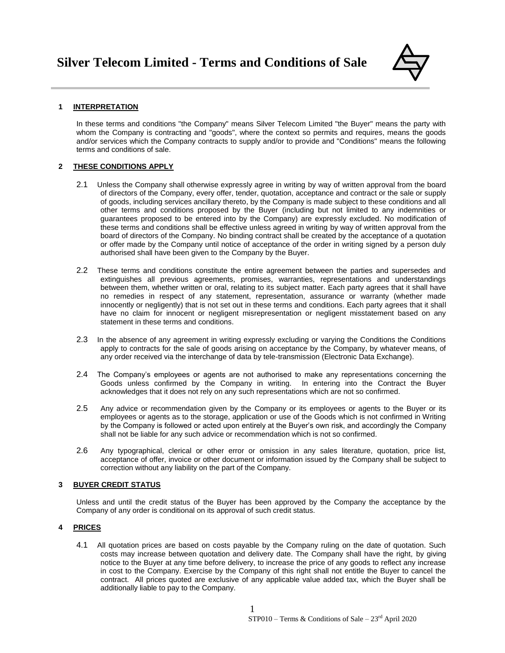

# **1 INTERPRETATION**

In these terms and conditions "the Company" means Silver Telecom Limited "the Buyer" means the party with whom the Company is contracting and "goods", where the context so permits and requires, means the goods and/or services which the Company contracts to supply and/or to provide and "Conditions" means the following terms and conditions of sale.

# **2 THESE CONDITIONS APPLY**

- 2.1 Unless the Company shall otherwise expressly agree in writing by way of written approval from the board of directors of the Company, every offer, tender, quotation, acceptance and contract or the sale or supply of goods, including services ancillary thereto, by the Company is made subject to these conditions and all other terms and conditions proposed by the Buyer (including but not limited to any indemnities or guarantees proposed to be entered into by the Company) are expressly excluded. No modification of these terms and conditions shall be effective unless agreed in writing by way of written approval from the board of directors of the Company. No binding contract shall be created by the acceptance of a quotation or offer made by the Company until notice of acceptance of the order in writing signed by a person duly authorised shall have been given to the Company by the Buyer.
- 2.2 These terms and conditions constitute the entire agreement between the parties and supersedes and extinguishes all previous agreements, promises, warranties, representations and understandings between them, whether written or oral, relating to its subject matter. Each party agrees that it shall have no remedies in respect of any statement, representation, assurance or warranty (whether made innocently or negligently) that is not set out in these terms and conditions. Each party agrees that it shall have no claim for innocent or negligent misrepresentation or negligent misstatement based on any statement in these terms and conditions.
- 2.3 In the absence of any agreement in writing expressly excluding or varying the Conditions the Conditions apply to contracts for the sale of goods arising on acceptance by the Company, by whatever means, of any order received via the interchange of data by tele-transmission (Electronic Data Exchange).
- 2.4 The Company's employees or agents are not authorised to make any representations concerning the Goods unless confirmed by the Company in writing. In entering into the Contract the Buyer acknowledges that it does not rely on any such representations which are not so confirmed.
- 2.5 Any advice or recommendation given by the Company or its employees or agents to the Buyer or its employees or agents as to the storage, application or use of the Goods which is not confirmed in Writing by the Company is followed or acted upon entirely at the Buyer's own risk, and accordingly the Company shall not be liable for any such advice or recommendation which is not so confirmed.
- 2.6 Any typographical, clerical or other error or omission in any sales literature, quotation, price list, acceptance of offer, invoice or other document or information issued by the Company shall be subject to correction without any liability on the part of the Company.

# **3 BUYER CREDIT STATUS**

Unless and until the credit status of the Buyer has been approved by the Company the acceptance by the Company of any order is conditional on its approval of such credit status.

# **4 PRICES**

4.1 All quotation prices are based on costs payable by the Company ruling on the date of quotation. Such costs may increase between quotation and delivery date. The Company shall have the right, by giving notice to the Buyer at any time before delivery, to increase the price of any goods to reflect any increase in cost to the Company. Exercise by the Company of this right shall not entitle the Buyer to cancel the contract. All prices quoted are exclusive of any applicable value added tax, which the Buyer shall be additionally liable to pay to the Company.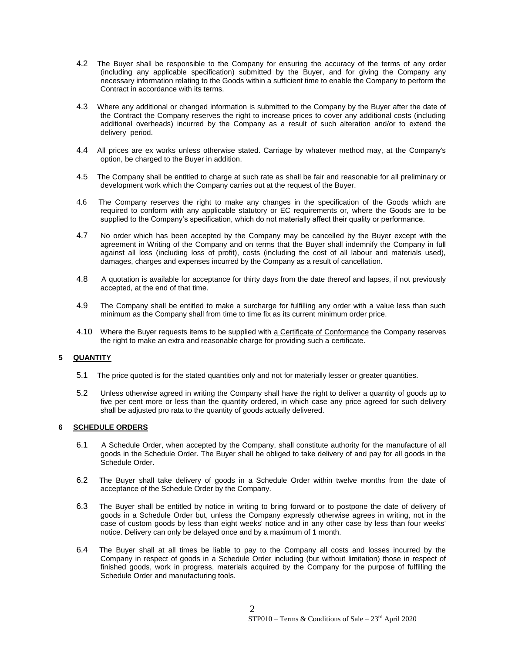- 4.2 The Buyer shall be responsible to the Company for ensuring the accuracy of the terms of any order (including any applicable specification) submitted by the Buyer, and for giving the Company any necessary information relating to the Goods within a sufficient time to enable the Company to perform the Contract in accordance with its terms.
- 4.3 Where any additional or changed information is submitted to the Company by the Buyer after the date of the Contract the Company reserves the right to increase prices to cover any additional costs (including additional overheads) incurred by the Company as a result of such alteration and/or to extend the delivery period.
- 4.4 All prices are ex works unless otherwise stated. Carriage by whatever method may, at the Company's option, be charged to the Buyer in addition.
- 4.5 The Company shall be entitled to charge at such rate as shall be fair and reasonable for all preliminary or development work which the Company carries out at the request of the Buyer.
- 4.6 The Company reserves the right to make any changes in the specification of the Goods which are required to conform with any applicable statutory or EC requirements or, where the Goods are to be supplied to the Company's specification, which do not materially affect their quality or performance.
- 4.7 No order which has been accepted by the Company may be cancelled by the Buyer except with the agreement in Writing of the Company and on terms that the Buyer shall indemnify the Company in full against all loss (including loss of profit), costs (including the cost of all labour and materials used), damages, charges and expenses incurred by the Company as a result of cancellation.
- 4.8 A quotation is available for acceptance for thirty days from the date thereof and lapses, if not previously accepted, at the end of that time.
- 4.9 The Company shall be entitled to make a surcharge for fulfilling any order with a value less than such minimum as the Company shall from time to time fix as its current minimum order price.
- 4.10 Where the Buyer requests items to be supplied with a Certificate of Conformance the Company reserves the right to make an extra and reasonable charge for providing such a certificate.

# **5 QUANTITY**

- 5.1 The price quoted is for the stated quantities only and not for materially lesser or greater quantities.
- 5.2 Unless otherwise agreed in writing the Company shall have the right to deliver a quantity of goods up to five per cent more or less than the quantity ordered, in which case any price agreed for such delivery shall be adjusted pro rata to the quantity of goods actually delivered.

## **6 SCHEDULE ORDERS**

- 6.1 A Schedule Order, when accepted by the Company, shall constitute authority for the manufacture of all goods in the Schedule Order. The Buyer shall be obliged to take delivery of and pay for all goods in the Schedule Order.
- 6.2 The Buyer shall take delivery of goods in a Schedule Order within twelve months from the date of acceptance of the Schedule Order by the Company.
- 6.3 The Buyer shall be entitled by notice in writing to bring forward or to postpone the date of delivery of goods in a Schedule Order but, unless the Company expressly otherwise agrees in writing, not in the case of custom goods by less than eight weeks' notice and in any other case by less than four weeks' notice. Delivery can only be delayed once and by a maximum of 1 month.
- 6.4 The Buyer shall at all times be liable to pay to the Company all costs and losses incurred by the Company in respect of goods in a Schedule Order including (but without limitation) those in respect of finished goods, work in progress, materials acquired by the Company for the purpose of fulfilling the Schedule Order and manufacturing tools.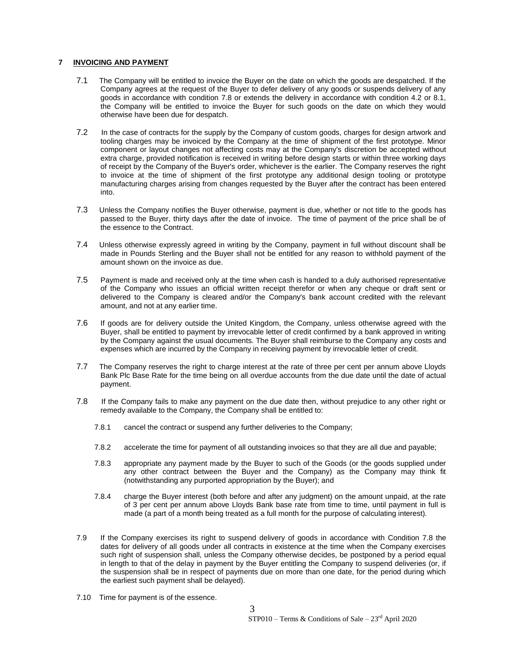## **7 INVOICING AND PAYMENT**

- 7.1 The Company will be entitled to invoice the Buyer on the date on which the goods are despatched. If the Company agrees at the request of the Buyer to defer delivery of any goods or suspends delivery of any goods in accordance with condition 7.8 or extends the delivery in accordance with condition 4.2 or 8.1, the Company will be entitled to invoice the Buyer for such goods on the date on which they would otherwise have been due for despatch.
- 7.2 In the case of contracts for the supply by the Company of custom goods, charges for design artwork and tooling charges may be invoiced by the Company at the time of shipment of the first prototype. Minor component or layout changes not affecting costs may at the Company's discretion be accepted without extra charge, provided notification is received in writing before design starts or within three working days of receipt by the Company of the Buyer's order, whichever is the earlier. The Company reserves the right to invoice at the time of shipment of the first prototype any additional design tooling or prototype manufacturing charges arising from changes requested by the Buyer after the contract has been entered into.
- 7.3 Unless the Company notifies the Buyer otherwise, payment is due, whether or not title to the goods has passed to the Buyer, thirty days after the date of invoice. The time of payment of the price shall be of the essence to the Contract.
- 7.4 Unless otherwise expressly agreed in writing by the Company, payment in full without discount shall be made in Pounds Sterling and the Buyer shall not be entitled for any reason to withhold payment of the amount shown on the invoice as due.
- 7.5 Payment is made and received only at the time when cash is handed to a duly authorised representative of the Company who issues an official written receipt therefor or when any cheque or draft sent or delivered to the Company is cleared and/or the Company's bank account credited with the relevant amount, and not at any earlier time.
- 7.6 If goods are for delivery outside the United Kingdom, the Company, unless otherwise agreed with the Buyer, shall be entitled to payment by irrevocable letter of credit confirmed by a bank approved in writing by the Company against the usual documents. The Buyer shall reimburse to the Company any costs and expenses which are incurred by the Company in receiving payment by irrevocable letter of credit.
- 7.7 The Company reserves the right to charge interest at the rate of three per cent per annum above Lloyds Bank Plc Base Rate for the time being on all overdue accounts from the due date until the date of actual payment.
- 7.8 If the Company fails to make any payment on the due date then, without prejudice to any other right or remedy available to the Company, the Company shall be entitled to:
	- 7.8.1 cancel the contract or suspend any further deliveries to the Company;
	- 7.8.2 accelerate the time for payment of all outstanding invoices so that they are all due and payable;
	- 7.8.3 appropriate any payment made by the Buyer to such of the Goods (or the goods supplied under any other contract between the Buyer and the Company) as the Company may think fit (notwithstanding any purported appropriation by the Buyer); and
	- 7.8.4 charge the Buyer interest (both before and after any judgment) on the amount unpaid, at the rate of 3 per cent per annum above Lloyds Bank base rate from time to time, until payment in full is made (a part of a month being treated as a full month for the purpose of calculating interest).
- 7.9 If the Company exercises its right to suspend delivery of goods in accordance with Condition 7.8 the dates for delivery of all goods under all contracts in existence at the time when the Company exercises such right of suspension shall, unless the Company otherwise decides, be postponed by a period equal in length to that of the delay in payment by the Buyer entitling the Company to suspend deliveries (or, if the suspension shall be in respect of payments due on more than one date, for the period during which the earliest such payment shall be delayed).
- 7.10 Time for payment is of the essence.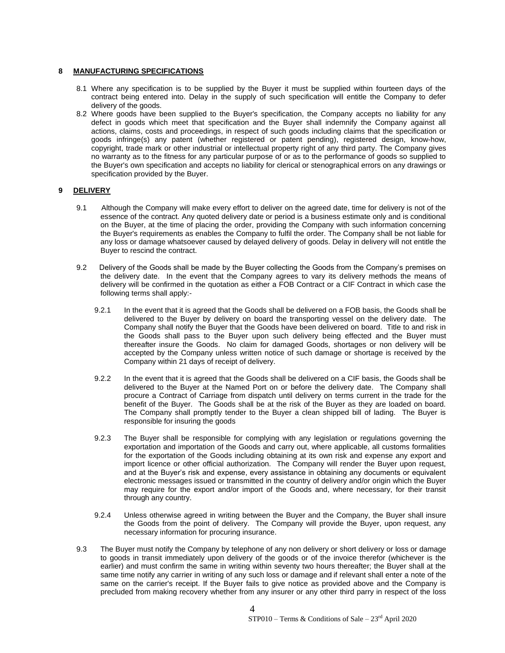## **8 MANUFACTURING SPECIFICATIONS**

- 8.1 Where any specification is to be supplied by the Buyer it must be supplied within fourteen days of the contract being entered into. Delay in the supply of such specification will entitle the Company to defer delivery of the goods.
- 8.2 Where goods have been supplied to the Buyer's specification, the Company accepts no liability for any defect in goods which meet that specification and the Buyer shall indemnify the Company against all actions, claims, costs and proceedings, in respect of such goods including claims that the specification or goods infringe(s) any patent (whether registered or patent pending), registered design, know-how, copyright, trade mark or other industrial or intellectual property right of any third party. The Company gives no warranty as to the fitness for any particular purpose of or as to the performance of goods so supplied to the Buyer's own specification and accepts no liability for clerical or stenographical errors on any drawings or specification provided by the Buyer.

# **9 DELIVERY**

- 9.1 Although the Company will make every effort to deliver on the agreed date, time for delivery is not of the essence of the contract. Any quoted delivery date or period is a business estimate only and is conditional on the Buyer, at the time of placing the order, providing the Company with such information concerning the Buyer's requirements as enables the Company to fulfil the order. The Company shall be not liable for any loss or damage whatsoever caused by delayed delivery of goods. Delay in delivery will not entitle the Buyer to rescind the contract.
- 9.2 Delivery of the Goods shall be made by the Buyer collecting the Goods from the Company's premises on the delivery date. In the event that the Company agrees to vary its delivery methods the means of delivery will be confirmed in the quotation as either a FOB Contract or a CIF Contract in which case the following terms shall apply:-
	- 9.2.1 In the event that it is agreed that the Goods shall be delivered on a FOB basis, the Goods shall be delivered to the Buyer by delivery on board the transporting vessel on the delivery date. The Company shall notify the Buyer that the Goods have been delivered on board. Title to and risk in the Goods shall pass to the Buyer upon such delivery being effected and the Buyer must thereafter insure the Goods. No claim for damaged Goods, shortages or non delivery will be accepted by the Company unless written notice of such damage or shortage is received by the Company within 21 days of receipt of delivery.
	- 9.2.2 In the event that it is agreed that the Goods shall be delivered on a CIF basis, the Goods shall be delivered to the Buyer at the Named Port on or before the delivery date. The Company shall procure a Contract of Carriage from dispatch until delivery on terms current in the trade for the benefit of the Buyer. The Goods shall be at the risk of the Buyer as they are loaded on board. The Company shall promptly tender to the Buyer a clean shipped bill of lading. The Buyer is responsible for insuring the goods
	- 9.2.3 The Buyer shall be responsible for complying with any legislation or regulations governing the exportation and importation of the Goods and carry out, where applicable, all customs formalities for the exportation of the Goods including obtaining at its own risk and expense any export and import licence or other official authorization. The Company will render the Buyer upon request, and at the Buyer's risk and expense, every assistance in obtaining any documents or equivalent electronic messages issued or transmitted in the country of delivery and/or origin which the Buyer may require for the export and/or import of the Goods and, where necessary, for their transit through any country.
	- 9.2.4 Unless otherwise agreed in writing between the Buyer and the Company, the Buyer shall insure the Goods from the point of delivery. The Company will provide the Buyer, upon request, any necessary information for procuring insurance.
- 9.3 The Buyer must notify the Company by telephone of any non delivery or short delivery or loss or damage to goods in transit immediately upon delivery of the goods or of the invoice therefor (whichever is the earlier) and must confirm the same in writing within seventy two hours thereafter; the Buyer shall at the same time notify any carrier in writing of any such loss or damage and if relevant shall enter a note of the same on the carrier's receipt. If the Buyer fails to give notice as provided above and the Company is precluded from making recovery whether from any insurer or any other third parry in respect of the loss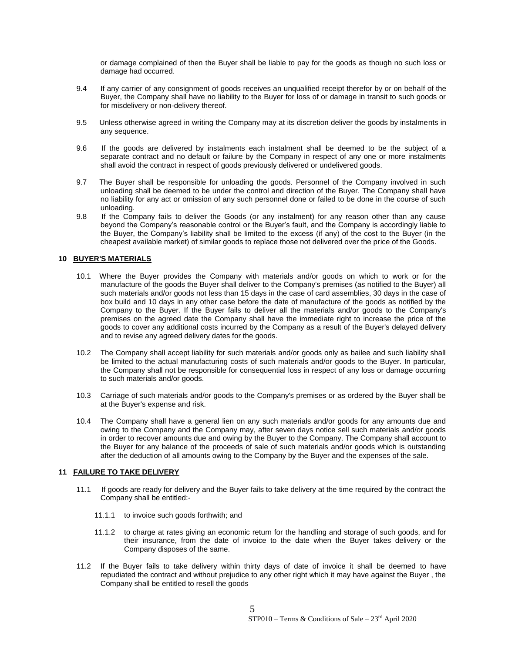or damage complained of then the Buyer shall be liable to pay for the goods as though no such loss or damage had occurred.

- 9.4 If any carrier of any consignment of goods receives an unqualified receipt therefor by or on behalf of the Buyer, the Company shall have no liability to the Buyer for loss of or damage in transit to such goods or for misdelivery or non-delivery thereof.
- 9.5 Unless otherwise agreed in writing the Company may at its discretion deliver the goods by instalments in any sequence.
- 9.6 If the goods are delivered by instalments each instalment shall be deemed to be the subject of a separate contract and no default or failure by the Company in respect of any one or more instalments shall avoid the contract in respect of goods previously delivered or undelivered goods.
- 9.7 The Buyer shall be responsible for unloading the goods. Personnel of the Company involved in such unloading shall be deemed to be under the control and direction of the Buyer. The Company shall have no liability for any act or omission of any such personnel done or failed to be done in the course of such unloading.
- 9.8 If the Company fails to deliver the Goods (or any instalment) for any reason other than any cause beyond the Company's reasonable control or the Buyer's fault, and the Company is accordingly liable to the Buyer, the Company's liability shall be limited to the excess (if any) of the cost to the Buyer (in the cheapest available market) of similar goods to replace those not delivered over the price of the Goods.

## **10 BUYER'S MATERIALS**

- 10.1 Where the Buyer provides the Company with materials and/or goods on which to work or for the manufacture of the goods the Buyer shall deliver to the Company's premises (as notified to the Buyer) all such materials and/or goods not less than 15 days in the case of card assemblies, 30 days in the case of box build and 10 days in any other case before the date of manufacture of the goods as notified by the Company to the Buyer. If the Buyer fails to deliver all the materials and/or goods to the Company's premises on the agreed date the Company shall have the immediate right to increase the price of the goods to cover any additional costs incurred by the Company as a result of the Buyer's delayed delivery and to revise any agreed delivery dates for the goods.
- 10.2 The Company shall accept liability for such materials and/or goods only as bailee and such liability shall be limited to the actual manufacturing costs of such materials and/or goods to the Buyer. In particular, the Company shall not be responsible for consequential loss in respect of any loss or damage occurring to such materials and/or goods.
- 10.3 Carriage of such materials and/or goods to the Company's premises or as ordered by the Buyer shall be at the Buyer's expense and risk.
- 10.4 The Company shall have a general lien on any such materials and/or goods for any amounts due and owing to the Company and the Company may, after seven days notice sell such materials and/or goods in order to recover amounts due and owing by the Buyer to the Company. The Company shall account to the Buyer for any balance of the proceeds of sale of such materials and/or goods which is outstanding after the deduction of all amounts owing to the Company by the Buyer and the expenses of the sale.

## **11 FAILURE TO TAKE DELIVERY**

- 11.1 If goods are ready for delivery and the Buyer fails to take delivery at the time required by the contract the Company shall be entitled:-
	- 11.1.1 to invoice such goods forthwith; and
	- 11.1.2 to charge at rates giving an economic return for the handling and storage of such goods, and for their insurance, from the date of invoice to the date when the Buyer takes delivery or the Company disposes of the same.
- 11.2 If the Buyer fails to take delivery within thirty days of date of invoice it shall be deemed to have repudiated the contract and without prejudice to any other right which it may have against the Buyer , the Company shall be entitled to resell the goods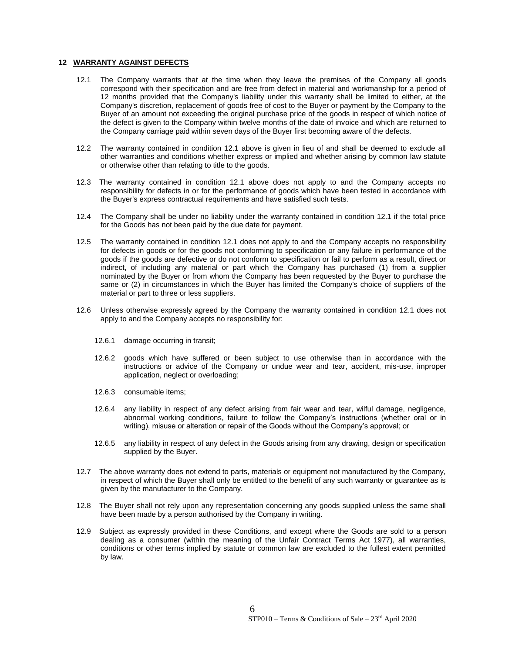#### **12 WARRANTY AGAINST DEFECTS**

- 12.1 The Company warrants that at the time when they leave the premises of the Company all goods correspond with their specification and are free from defect in material and workmanship for a period of 12 months provided that the Company's liability under this warranty shall be limited to either, at the Company's discretion, replacement of goods free of cost to the Buyer or payment by the Company to the Buyer of an amount not exceeding the original purchase price of the goods in respect of which notice of the defect is given to the Company within twelve months of the date of invoice and which are returned to the Company carriage paid within seven days of the Buyer first becoming aware of the defects.
- 12.2 The warranty contained in condition 12.1 above is given in lieu of and shall be deemed to exclude all other warranties and conditions whether express or implied and whether arising by common law statute or otherwise other than relating to title to the goods.
- 12.3 The warranty contained in condition 12.1 above does not apply to and the Company accepts no responsibility for defects in or for the performance of goods which have been tested in accordance with the Buyer's express contractual requirements and have satisfied such tests.
- 12.4 The Company shall be under no liability under the warranty contained in condition 12.1 if the total price for the Goods has not been paid by the due date for payment.
- 12.5 The warranty contained in condition 12.1 does not apply to and the Company accepts no responsibility for defects in goods or for the goods not conforming to specification or any failure in performance of the goods if the goods are defective or do not conform to specification or fail to perform as a result, direct or indirect, of including any material or part which the Company has purchased (1) from a supplier nominated by the Buyer or from whom the Company has been requested by the Buyer to purchase the same or (2) in circumstances in which the Buyer has limited the Company's choice of suppliers of the material or part to three or less suppliers.
- 12.6 Unless otherwise expressly agreed by the Company the warranty contained in condition 12.1 does not apply to and the Company accepts no responsibility for:
	- 12.6.1 damage occurring in transit;
	- 12.6.2 goods which have suffered or been subject to use otherwise than in accordance with the instructions or advice of the Company or undue wear and tear, accident, mis-use, improper application, neglect or overloading;
	- 12.6.3 consumable items;
	- 12.6.4 any liability in respect of any defect arising from fair wear and tear, wilful damage, negligence, abnormal working conditions, failure to follow the Company's instructions (whether oral or in writing), misuse or alteration or repair of the Goods without the Company's approval; or
	- 12.6.5 any liability in respect of any defect in the Goods arising from any drawing, design or specification supplied by the Buyer.
- 12.7 The above warranty does not extend to parts, materials or equipment not manufactured by the Company, in respect of which the Buyer shall only be entitled to the benefit of any such warranty or guarantee as is given by the manufacturer to the Company.
- 12.8 The Buyer shall not rely upon any representation concerning any goods supplied unless the same shall have been made by a person authorised by the Company in writing.
- 12.9 Subject as expressly provided in these Conditions, and except where the Goods are sold to a person dealing as a consumer (within the meaning of the Unfair Contract Terms Act 1977), all warranties, conditions or other terms implied by statute or common law are excluded to the fullest extent permitted by law.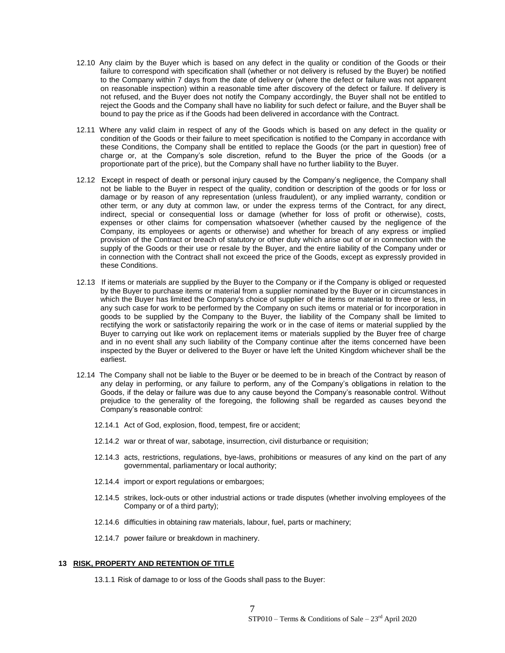- 12.10 Any claim by the Buyer which is based on any defect in the quality or condition of the Goods or their failure to correspond with specification shall (whether or not delivery is refused by the Buyer) be notified to the Company within 7 days from the date of delivery or (where the defect or failure was not apparent on reasonable inspection) within a reasonable time after discovery of the defect or failure. If delivery is not refused, and the Buyer does not notify the Company accordingly, the Buyer shall not be entitled to reject the Goods and the Company shall have no liability for such defect or failure, and the Buyer shall be bound to pay the price as if the Goods had been delivered in accordance with the Contract.
- 12.11 Where any valid claim in respect of any of the Goods which is based on any defect in the quality or condition of the Goods or their failure to meet specification is notified to the Company in accordance with these Conditions, the Company shall be entitled to replace the Goods (or the part in question) free of charge or, at the Company's sole discretion, refund to the Buyer the price of the Goods (or a proportionate part of the price), but the Company shall have no further liability to the Buyer.
- 12.12 Except in respect of death or personal injury caused by the Company's negligence, the Company shall not be liable to the Buyer in respect of the quality, condition or description of the goods or for loss or damage or by reason of any representation (unless fraudulent), or any implied warranty, condition or other term, or any duty at common law, or under the express terms of the Contract, for any direct, indirect, special or consequential loss or damage (whether for loss of profit or otherwise), costs, expenses or other claims for compensation whatsoever (whether caused by the negligence of the Company, its employees or agents or otherwise) and whether for breach of any express or implied provision of the Contract or breach of statutory or other duty which arise out of or in connection with the supply of the Goods or their use or resale by the Buyer, and the entire liability of the Company under or in connection with the Contract shall not exceed the price of the Goods, except as expressly provided in these Conditions.
- 12.13 If items or materials are supplied by the Buyer to the Company or if the Company is obliged or requested by the Buyer to purchase items or material from a supplier nominated by the Buyer or in circumstances in which the Buyer has limited the Company's choice of supplier of the items or material to three or less, in any such case for work to be performed by the Company on such items or material or for incorporation in goods to be supplied by the Company to the Buyer, the liability of the Company shall be limited to rectifying the work or satisfactorily repairing the work or in the case of items or material supplied by the Buyer to carrying out like work on replacement items or materials supplied by the Buyer free of charge and in no event shall any such liability of the Company continue after the items concerned have been inspected by the Buyer or delivered to the Buyer or have left the United Kingdom whichever shall be the earliest.
- 12.14 The Company shall not be liable to the Buyer or be deemed to be in breach of the Contract by reason of any delay in performing, or any failure to perform, any of the Company's obligations in relation to the Goods, if the delay or failure was due to any cause beyond the Company's reasonable control. Without prejudice to the generality of the foregoing, the following shall be regarded as causes beyond the Company's reasonable control:
	- 12.14.1 Act of God, explosion, flood, tempest, fire or accident;
	- 12.14.2 war or threat of war, sabotage, insurrection, civil disturbance or requisition;
	- 12.14.3 acts, restrictions, regulations, bye-laws, prohibitions or measures of any kind on the part of any governmental, parliamentary or local authority;
	- 12.14.4 import or export regulations or embargoes;
	- 12.14.5 strikes, lock-outs or other industrial actions or trade disputes (whether involving employees of the Company or of a third party);
	- 12.14.6 difficulties in obtaining raw materials, labour, fuel, parts or machinery;
	- 12.14.7 power failure or breakdown in machinery.

# **13 RISK, PROPERTY AND RETENTION OF TITLE**

13.1.1 Risk of damage to or loss of the Goods shall pass to the Buyer: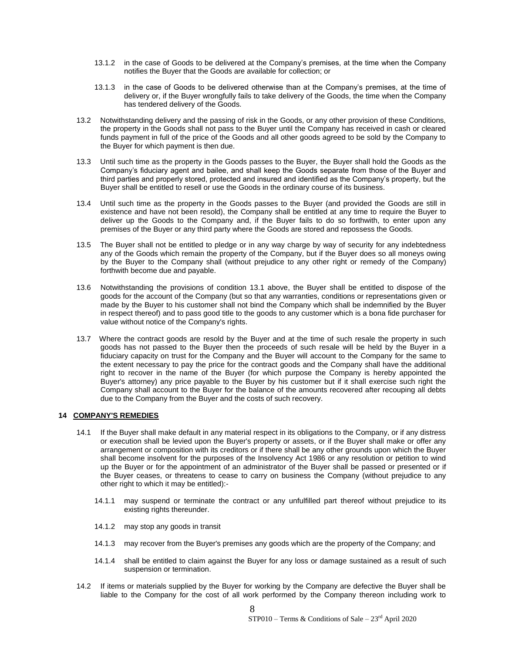- 13.1.2 in the case of Goods to be delivered at the Company's premises, at the time when the Company notifies the Buyer that the Goods are available for collection; or
- 13.1.3 in the case of Goods to be delivered otherwise than at the Company's premises, at the time of delivery or, if the Buyer wrongfully fails to take delivery of the Goods, the time when the Company has tendered delivery of the Goods.
- 13.2 Notwithstanding delivery and the passing of risk in the Goods, or any other provision of these Conditions, the property in the Goods shall not pass to the Buyer until the Company has received in cash or cleared funds payment in full of the price of the Goods and all other goods agreed to be sold by the Company to the Buyer for which payment is then due.
- 13.3 Until such time as the property in the Goods passes to the Buyer, the Buyer shall hold the Goods as the Company's fiduciary agent and bailee, and shall keep the Goods separate from those of the Buyer and third parties and properly stored, protected and insured and identified as the Company's property, but the Buyer shall be entitled to resell or use the Goods in the ordinary course of its business.
- 13.4 Until such time as the property in the Goods passes to the Buyer (and provided the Goods are still in existence and have not been resold), the Company shall be entitled at any time to require the Buyer to deliver up the Goods to the Company and, if the Buyer fails to do so forthwith, to enter upon any premises of the Buyer or any third party where the Goods are stored and repossess the Goods.
- 13.5 The Buyer shall not be entitled to pledge or in any way charge by way of security for any indebtedness any of the Goods which remain the property of the Company, but if the Buyer does so all moneys owing by the Buyer to the Company shall (without prejudice to any other right or remedy of the Company) forthwith become due and payable.
- 13.6 Notwithstanding the provisions of condition 13.1 above, the Buyer shall be entitled to dispose of the goods for the account of the Company (but so that any warranties, conditions or representations given or made by the Buyer to his customer shall not bind the Company which shall be indemnified by the Buyer in respect thereof) and to pass good title to the goods to any customer which is a bona fide purchaser for value without notice of the Company's rights.
- 13.7 Where the contract goods are resold by the Buyer and at the time of such resale the property in such goods has not passed to the Buyer then the proceeds of such resale will be held by the Buyer in a fiduciary capacity on trust for the Company and the Buyer will account to the Company for the same to the extent necessary to pay the price for the contract goods and the Company shall have the additional right to recover in the name of the Buyer (for which purpose the Company is hereby appointed the Buyer's attorney) any price payable to the Buyer by his customer but if it shall exercise such right the Company shall account to the Buyer for the balance of the amounts recovered after recouping all debts due to the Company from the Buyer and the costs of such recovery.

## **14 COMPANY'S REMEDIES**

- 14.1 If the Buyer shall make default in any material respect in its obligations to the Company, or if any distress or execution shall be levied upon the Buyer's property or assets, or if the Buyer shall make or offer any arrangement or composition with its creditors or if there shall be any other grounds upon which the Buyer shall become insolvent for the purposes of the Insolvency Act 1986 or any resolution or petition to wind up the Buyer or for the appointment of an administrator of the Buyer shall be passed or presented or if the Buyer ceases, or threatens to cease to carry on business the Company (without prejudice to any other right to which it may be entitled):-
	- 14.1.1 may suspend or terminate the contract or any unfulfilled part thereof without prejudice to its existing rights thereunder.
	- 14.1.2 may stop any goods in transit
	- 14.1.3 may recover from the Buyer's premises any goods which are the property of the Company; and
	- 14.1.4 shall be entitled to claim against the Buyer for any loss or damage sustained as a result of such suspension or termination.
- 14.2 If items or materials supplied by the Buyer for working by the Company are defective the Buyer shall be liable to the Company for the cost of all work performed by the Company thereon including work to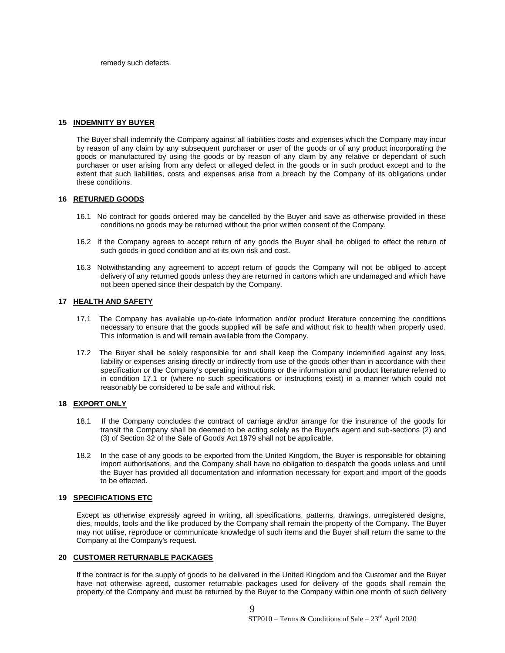remedy such defects.

### **15 INDEMNITY BY BUYER**

The Buyer shall indemnify the Company against all liabilities costs and expenses which the Company may incur by reason of any claim by any subsequent purchaser or user of the goods or of any product incorporating the goods or manufactured by using the goods or by reason of any claim by any relative or dependant of such purchaser or user arising from any defect or alleged defect in the goods or in such product except and to the extent that such liabilities, costs and expenses arise from a breach by the Company of its obligations under these conditions.

## **16 RETURNED GOODS**

- 16.1 No contract for goods ordered may be cancelled by the Buyer and save as otherwise provided in these conditions no goods may be returned without the prior written consent of the Company.
- 16.2 If the Company agrees to accept return of any goods the Buyer shall be obliged to effect the return of such goods in good condition and at its own risk and cost.
- 16.3 Notwithstanding any agreement to accept return of goods the Company will not be obliged to accept delivery of any returned goods unless they are returned in cartons which are undamaged and which have not been opened since their despatch by the Company.

## **17 HEALTH AND SAFETY**

- 17.1 The Company has available up-to-date information and/or product literature concerning the conditions necessary to ensure that the goods supplied will be safe and without risk to health when properly used. This information is and will remain available from the Company.
- 17.2 The Buyer shall be solely responsible for and shall keep the Company indemnified against any loss, liability or expenses arising directly or indirectly from use of the goods other than in accordance with their specification or the Company's operating instructions or the information and product literature referred to in condition 17.1 or (where no such specifications or instructions exist) in a manner which could not reasonably be considered to be safe and without risk.

# **18 EXPORT ONLY**

- 18.1 If the Company concludes the contract of carriage and/or arrange for the insurance of the goods for transit the Company shall be deemed to be acting solely as the Buyer's agent and sub-sections (2) and (3) of Section 32 of the Sale of Goods Act 1979 shall not be applicable.
- 18.2 In the case of any goods to be exported from the United Kingdom, the Buyer is responsible for obtaining import authorisations, and the Company shall have no obligation to despatch the goods unless and until the Buyer has provided all documentation and information necessary for export and import of the goods to be effected.

## **19 SPECIFICATIONS ETC**

Except as otherwise expressly agreed in writing, all specifications, patterns, drawings, unregistered designs, dies, moulds, tools and the like produced by the Company shall remain the property of the Company. The Buyer may not utilise, reproduce or communicate knowledge of such items and the Buyer shall return the same to the Company at the Company's request.

## **20 CUSTOMER RETURNABLE PACKAGES**

If the contract is for the supply of goods to be delivered in the United Kingdom and the Customer and the Buyer have not otherwise agreed, customer returnable packages used for delivery of the goods shall remain the property of the Company and must be returned by the Buyer to the Company within one month of such delivery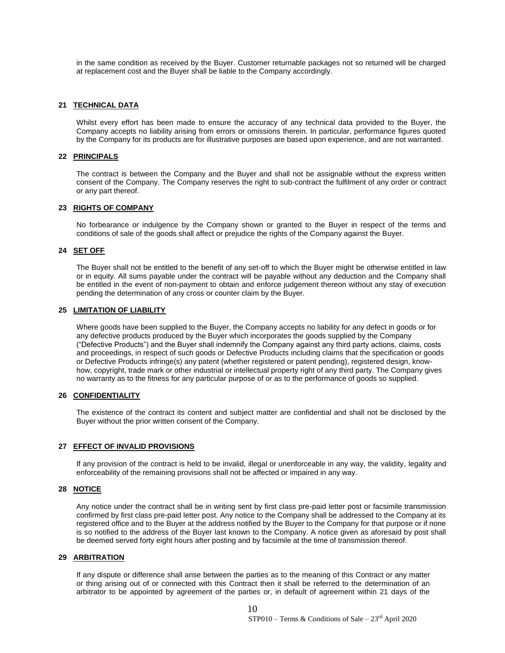in the same condition as received by the Buyer. Customer returnable packages not so returned will be charged at replacement cost and the Buyer shall be liable to the Company accordingly.

## **21 TECHNICAL DATA**

Whilst every effort has been made to ensure the accuracy of any technical data provided to the Buyer, the Company accepts no liability arising from errors or omissions therein. In particular, performance figures quoted by the Company for its products are for illustrative purposes are based upon experience, and are not warranted.

### **22 PRINCIPALS**

The contract is between the Company and the Buyer and shall not be assignable without the express written consent of the Company. The Company reserves the right to sub-contract the fulfilment of any order or contract or any part thereof.

#### **23 RIGHTS OF COMPANY**

No forbearance or indulgence by the Company shown or granted to the Buyer in respect of the terms and conditions of sale of the goods shall affect or prejudice the rights of the Company against the Buyer.

### **24 SET OFF**

The Buyer shall not be entitled to the benefit of any set-off to which the Buyer might be otherwise entitled in law or in equity. All sums payable under the contract will be payable without any deduction and the Company shall be entitled in the event of non-payment to obtain and enforce judgement thereon without any stay of execution pending the determination of any cross or counter claim by the Buyer.

### **25 LIMITATION OF LIABILITY**

Where goods have been supplied to the Buyer, the Company accepts no liability for any defect in goods or for any defective products produced by the Buyer which incorporates the goods supplied by the Company ("Defective Products") and the Buyer shall indemnify the Company against any third party actions, claims, costs and proceedings, in respect of such goods or Defective Products including claims that the specification or goods or Defective Products infringe(s) any patent (whether registered or patent pending), registered design, knowhow, copyright, trade mark or other industrial or intellectual property right of any third party. The Company gives no warranty as to the fitness for any particular purpose of or as to the performance of goods so supplied.

#### **26 CONFIDENTIALITY**

The existence of the contract its content and subject matter are confidential and shall not be disclosed by the Buyer without the prior written consent of the Company.

## **27 EFFECT OF INVALID PROVISIONS**

If any provision of the contract is held to be invalid, illegal or unenforceable in any way, the validity, legality and enforceability of the remaining provisions shall not be affected or impaired in any way.

### **28 NOTICE**

Any notice under the contract shall be in writing sent by first class pre-paid letter post or facsimile transmission confirmed by first class pre-paid letter post. Any notice to the Company shall be addressed to the Company at its registered office and to the Buyer at the address notified by the Buyer to the Company for that purpose or if none is so notified to the address of the Buyer last known to the Company. A notice given as aforesaid by post shall be deemed served forty eight hours after posting and by facsimile at the time of transmission thereof.

#### **29 ARBITRATION**

If any dispute or difference shall arise between the parties as to the meaning of this Contract or any matter or thing arising out of or connected with this Contract then it shall be referred to the determination of an arbitrator to be appointed by agreement of the parties or, in default of agreement within 21 days of the